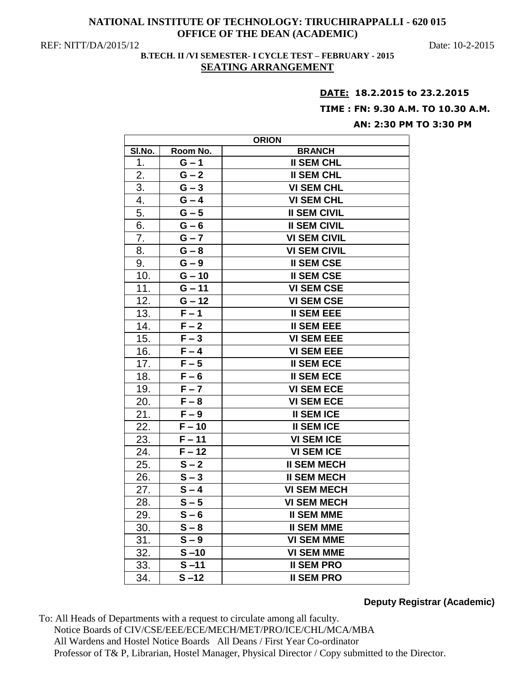## **NATIONAL INSTITUTE OF TECHNOLOGY: TIRUCHIRAPPALLI - 620 015 OFFICE OF THE DEAN (ACADEMIC)**

REF: NITT/DA/2015/12 Date: 10-2-2015

# **B.TECH. II /VI SEMESTER- I CYCLE TEST – FEBRUARY - 2015 SEATING ARRANGEMENT**

#### **DATE: 18.2.2015 to 23.2.2015**

## **TIME : FN: 9.30 A.M. TO 10.30 A.M.**

## **AN: 2:30 PM TO 3:30 PM**

| <b>ORION</b>     |                    |                     |
|------------------|--------------------|---------------------|
| SI.No.           | Room No.           | <b>BRANCH</b>       |
| 1.               | $G - 1$            | <b>II SEM CHL</b>   |
| $\overline{2}$ . | $G - 2$            | <b>II SEM CHL</b>   |
| 3.               | $G - 3$            | <b>VI SEM CHL</b>   |
| 4.               | $G - 4$            | <b>VI SEM CHL</b>   |
| 5.               | $G - 5$            | <b>II SEM CIVIL</b> |
| 6.               | $G - 6$            | <b>II SEM CIVIL</b> |
| 7.               | $G - 7$            | <b>VI SEM CIVIL</b> |
| 8.               | $G - 8$            | <b>VI SEM CIVIL</b> |
| 9.               | $G - 9$            | <b>II SEM CSE</b>   |
| 10.              | $G - 10$           | <b>II SEM CSE</b>   |
| 11.              | $G - 11$           | <b>VI SEM CSE</b>   |
| 12.              | $G - 12$           | <b>VI SEM CSE</b>   |
| 13.              | $F-1$              | <b>II SEM EEE</b>   |
| 14.              | $F - 2$            | <b>II SEM EEE</b>   |
| 15.              | $F-3$              | <b>VI SEM EEE</b>   |
| 16.              | $F - 4$            | <b>VI SEM EEE</b>   |
| 17.              | $F - 5$            | <b>II SEM ECE</b>   |
| 18.              | $F - 6$            | <b>II SEM ECE</b>   |
| 19.              | $F - 7$            | <b>VI SEM ECE</b>   |
| 20.              | $F - 8$            | <b>VI SEM ECE</b>   |
| 21.              | $\overline{F}$ – 9 | <b>II SEM ICE</b>   |
| 22.              | $F - 10$           | <b>II SEM ICE</b>   |
| 23.              | $F - 11$           | <b>VI SEM ICE</b>   |
| 24.              | $F - 12$           | <b>VI SEM ICE</b>   |
| 25.              | $S - 2$            | <b>II SEM MECH</b>  |
| 26.              | $S - 3$            | <b>II SEM MECH</b>  |
| 27.              | $S - 4$            | <b>VI SEM MECH</b>  |
| 28.              | $S - 5$            | <b>VI SEM MECH</b>  |
| 29.              | $S - 6$            | <b>II SEM MME</b>   |
| 30.              | $S - 8$            | <b>II SEM MME</b>   |
| 31.              | $S - 9$            | <b>VI SEM MME</b>   |
| 32.              | $S - 10$           | <b>VI SEM MME</b>   |
| 33.              | $S - 11$           | <b>II SEM PRO</b>   |
| 34.              | $S - 12$           | <b>II SEM PRO</b>   |

# **Deputy Registrar (Academic)**

To: All Heads of Departments with a request to circulate among all faculty. Notice Boards of CIV/CSE/EEE/ECE/MECH/MET/PRO/ICE/CHL/MCA/MBA All Wardens and Hostel Notice Boards All Deans / First Year Co-ordinator Professor of T& P, Librarian, Hostel Manager, Physical Director / Copy submitted to the Director.